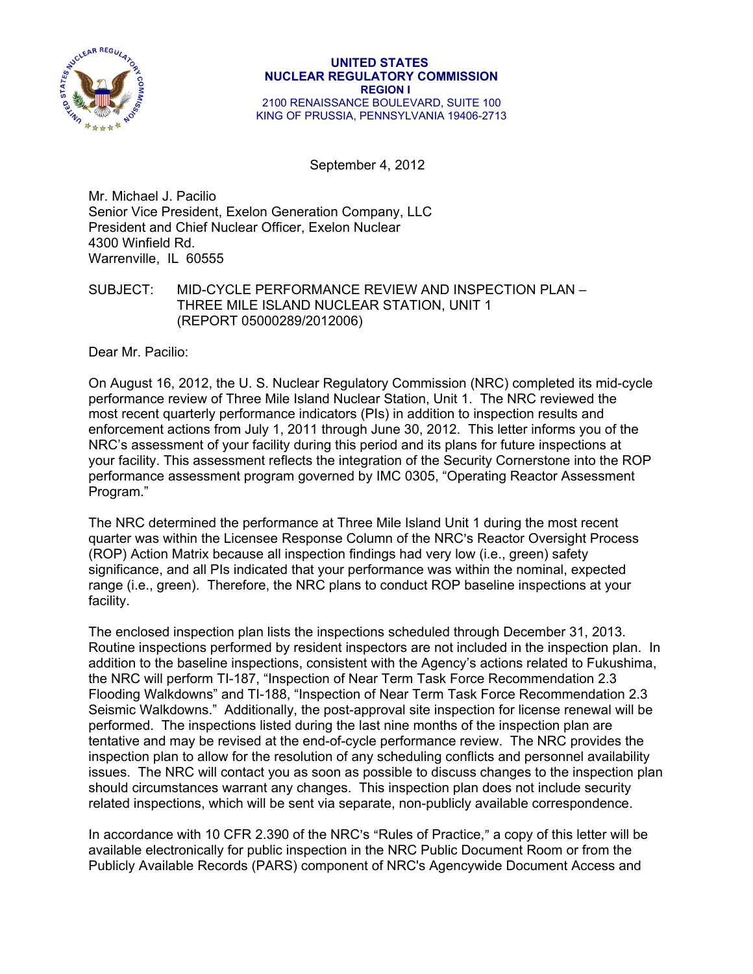

September 4, 2012

Mr. Michael J. Pacilio Senior Vice President, Exelon Generation Company, LLC President and Chief Nuclear Officer, Exelon Nuclear 4300 Winfield Rd. Warrenville, IL 60555

## SUBJECT: MID-CYCLE PERFORMANCE REVIEW AND INSPECTION PLAN – THREE MILE ISLAND NUCLEAR STATION, UNIT 1 (REPORT 05000289/2012006)

Dear Mr. Pacilio:

On August 16, 2012, the U. S. Nuclear Regulatory Commission (NRC) completed its mid-cycle performance review of Three Mile Island Nuclear Station, Unit 1. The NRC reviewed the most recent quarterly performance indicators (PIs) in addition to inspection results and enforcement actions from July 1, 2011 through June 30, 2012. This letter informs you of the NRC's assessment of your facility during this period and its plans for future inspections at your facility. This assessment reflects the integration of the Security Cornerstone into the ROP performance assessment program governed by IMC 0305, "Operating Reactor Assessment Program."

The NRC determined the performance at Three Mile Island Unit 1 during the most recent quarter was within the Licensee Response Column of the NRC's Reactor Oversight Process (ROP) Action Matrix because all inspection findings had very low (i.e., green) safety significance, and all PIs indicated that your performance was within the nominal, expected range (i.e., green). Therefore, the NRC plans to conduct ROP baseline inspections at your facility.

The enclosed inspection plan lists the inspections scheduled through December 31, 2013. Routine inspections performed by resident inspectors are not included in the inspection plan. In addition to the baseline inspections, consistent with the Agency's actions related to Fukushima, the NRC will perform TI-187, "Inspection of Near Term Task Force Recommendation 2.3 Flooding Walkdowns" and TI-188, "Inspection of Near Term Task Force Recommendation 2.3 Seismic Walkdowns." Additionally, the post-approval site inspection for license renewal will be performed. The inspections listed during the last nine months of the inspection plan are tentative and may be revised at the end-of-cycle performance review. The NRC provides the inspection plan to allow for the resolution of any scheduling conflicts and personnel availability issues. The NRC will contact you as soon as possible to discuss changes to the inspection plan should circumstances warrant any changes. This inspection plan does not include security related inspections, which will be sent via separate, non-publicly available correspondence.

In accordance with 10 CFR 2.390 of the NRC's "Rules of Practice," a copy of this letter will be available electronically for public inspection in the NRC Public Document Room or from the Publicly Available Records (PARS) component of NRC's Agencywide Document Access and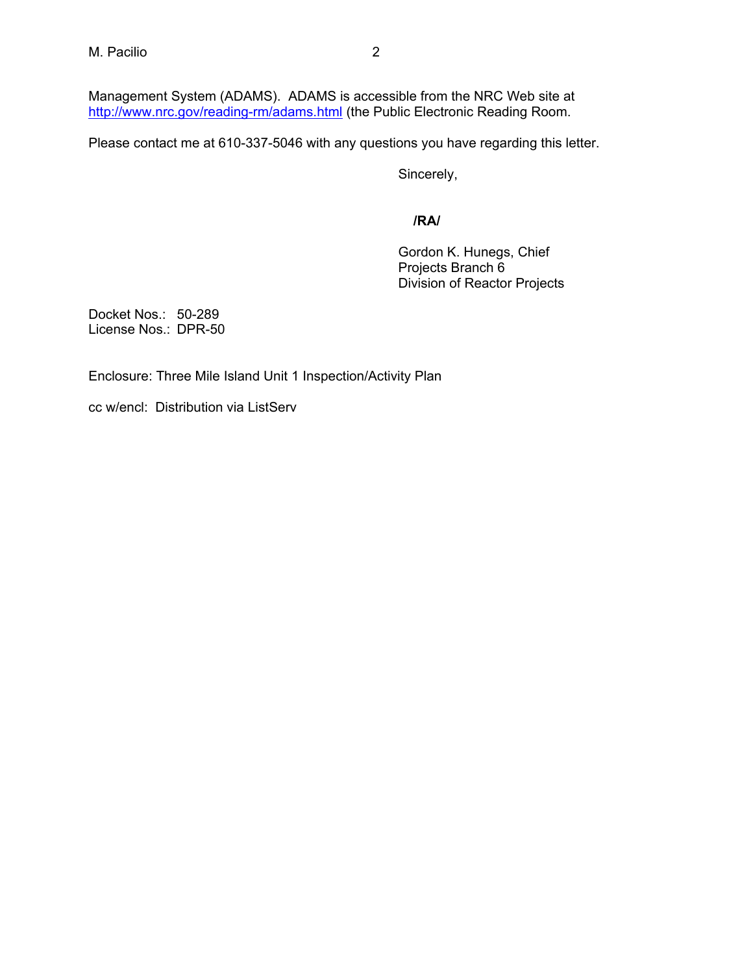Management System (ADAMS). ADAMS is accessible from the NRC Web site at http://www.nrc.gov/reading-rm/adams.html (the Public Electronic Reading Room.

Please contact me at 610-337-5046 with any questions you have regarding this letter.

Sincerely,

**/RA/** 

Gordon K. Hunegs, Chief Projects Branch 6 Division of Reactor Projects

Docket Nos.: 50-289 License Nos.: DPR-50

Enclosure: Three Mile Island Unit 1 Inspection/Activity Plan

cc w/encl: Distribution via ListServ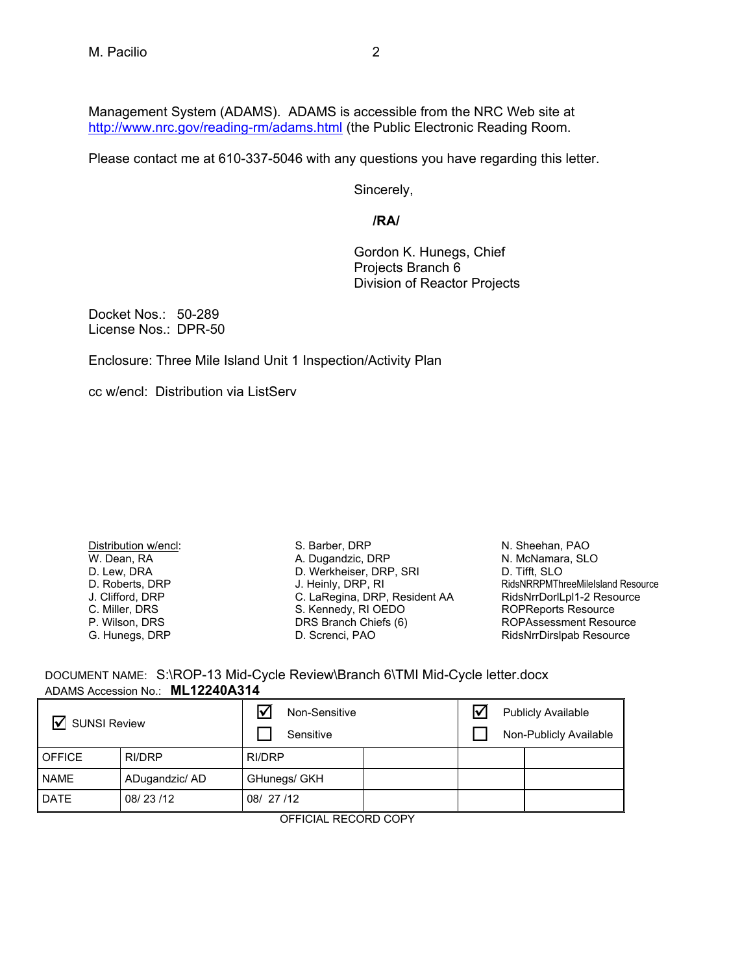Management System (ADAMS). ADAMS is accessible from the NRC Web site at http://www.nrc.gov/reading-rm/adams.html (the Public Electronic Reading Room.

Please contact me at 610-337-5046 with any questions you have regarding this letter.

Sincerely,

## **/RA/**

Gordon K. Hunegs, Chief Projects Branch 6 Division of Reactor Projects

Docket Nos.: 50-289 License Nos.: DPR-50

Enclosure: Three Mile Island Unit 1 Inspection/Activity Plan

cc w/encl: Distribution via ListServ

Distribution w/encl: W. Dean, RA D. Lew, DRA D. Roberts, DRP J. Clifford, DRP C. Miller, DRS P. Wilson, DRS G. Hunegs, DRP

S. Barber, DRP A. Dugandzic, DRP D. Werkheiser, DRP, SRI J. Heinly, DRP, RI J. Heiniy, DRP, Richard<br>C. LaRegina, DRP, Resident AA S. Kennedy, RI OEDO DRS Branch Chiefs (6) D. Screnci, PAO

N. Sheehan, PAO N. McNamara, SLO D. Tifft, SLO RidsNRRPMThreeMileIsland Resource RidsNrrDorlLpl1-2 Resource ROPReports Resource ROPAssessment Resource RidsNrrDirslpab Resource

 DOCUMENT NAME: S:\ROP-13 Mid-Cycle Review\Branch 6\TMI Mid-Cycle letter.docx ADAMS Accession No.: **ML12240A314** 

| <b>SUNSI Review</b><br>l٧ |                | ∇<br>Non-Sensitive<br>Sensitive |  | <b>Publicly Available</b><br>Non-Publicly Available |  |  |
|---------------------------|----------------|---------------------------------|--|-----------------------------------------------------|--|--|
| <b>OFFICE</b>             | RI/DRP         | RI/DRP                          |  |                                                     |  |  |
| <b>NAME</b>               | ADugandzic/ AD | GHunegs/ GKH                    |  |                                                     |  |  |
| <b>DATE</b>               | 08/23/12       | 08/27/12                        |  |                                                     |  |  |

OFFICIAL RECORD COPY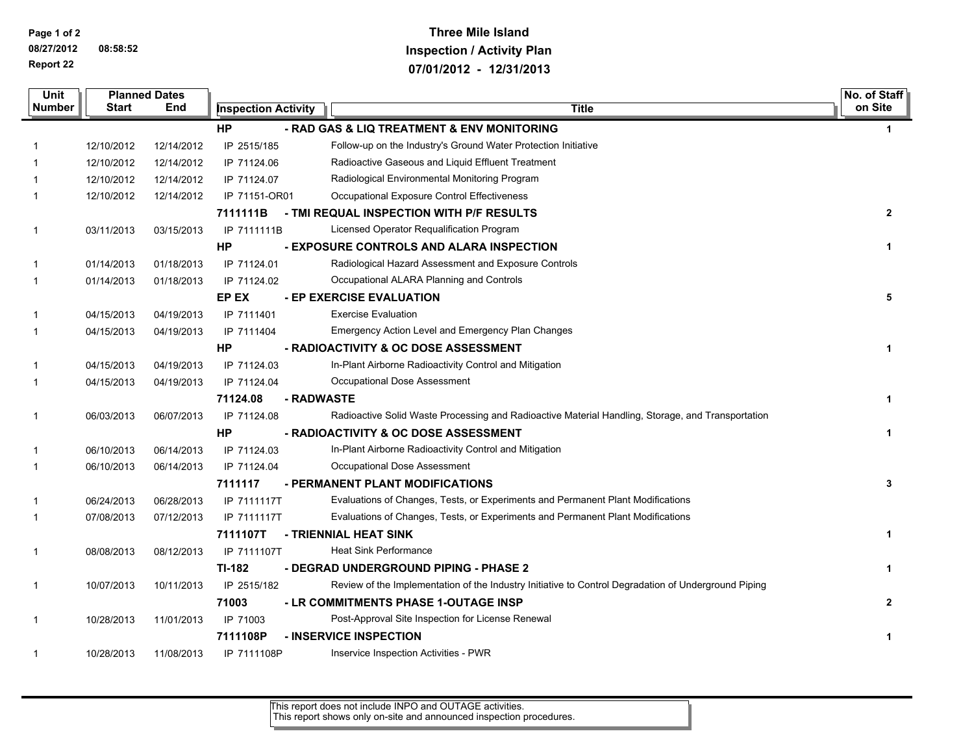**Page 1 of 2 08/27/2012 08:58:52 Report 22**

## **Three Mile Island Inspection / Activity Plan 07/01/2012 - 12/31/2013**

| Unit                                                            |            | <b>Planned Dates</b> |                            |                                                                                                      | No. of Staff   |  |
|-----------------------------------------------------------------|------------|----------------------|----------------------------|------------------------------------------------------------------------------------------------------|----------------|--|
| <b>Number</b>                                                   | Start      | End                  | <b>Inspection Activity</b> | <b>Title</b>                                                                                         | on Site        |  |
| - RAD GAS & LIQ TREATMENT & ENV MONITORING<br>HР<br>$\mathbf 1$ |            |                      |                            |                                                                                                      |                |  |
| 1                                                               | 12/10/2012 | 12/14/2012           | IP 2515/185                | Follow-up on the Industry's Ground Water Protection Initiative                                       |                |  |
|                                                                 | 12/10/2012 | 12/14/2012           | IP 71124.06                | Radioactive Gaseous and Liquid Effluent Treatment                                                    |                |  |
| 1                                                               | 12/10/2012 | 12/14/2012           | IP 71124.07                | Radiological Environmental Monitoring Program                                                        |                |  |
| 1                                                               | 12/10/2012 | 12/14/2012           | IP 71151-OR01              | Occupational Exposure Control Effectiveness                                                          |                |  |
|                                                                 |            |                      | 7111111B                   | - TMI REQUAL INSPECTION WITH P/F RESULTS                                                             | $\mathbf{2}$   |  |
| 1                                                               | 03/11/2013 | 03/15/2013           | IP 7111111B                | Licensed Operator Requalification Program                                                            |                |  |
|                                                                 |            |                      | HР                         | - EXPOSURE CONTROLS AND ALARA INSPECTION                                                             | 1              |  |
| 1                                                               | 01/14/2013 | 01/18/2013           | IP 71124.01                | Radiological Hazard Assessment and Exposure Controls                                                 |                |  |
| 1                                                               | 01/14/2013 | 01/18/2013           | IP 71124.02                | Occupational ALARA Planning and Controls                                                             |                |  |
|                                                                 |            |                      | EP EX                      | - EP EXERCISE EVALUATION                                                                             | 5              |  |
| 1                                                               | 04/15/2013 | 04/19/2013           | IP 7111401                 | <b>Exercise Evaluation</b>                                                                           |                |  |
| 1                                                               | 04/15/2013 | 04/19/2013           | IP 7111404                 | Emergency Action Level and Emergency Plan Changes                                                    |                |  |
|                                                                 |            |                      | HP                         | - RADIOACTIVITY & OC DOSE ASSESSMENT                                                                 | 1              |  |
| 1                                                               | 04/15/2013 | 04/19/2013           | IP 71124.03                | In-Plant Airborne Radioactivity Control and Mitigation                                               |                |  |
| 1                                                               | 04/15/2013 | 04/19/2013           | IP 71124.04                | Occupational Dose Assessment                                                                         |                |  |
|                                                                 |            |                      | 71124.08                   | - RADWASTE                                                                                           | $\mathbf{1}$   |  |
| $\mathbf{1}$                                                    | 06/03/2013 | 06/07/2013           | IP 71124.08                | Radioactive Solid Waste Processing and Radioactive Material Handling, Storage, and Transportation    |                |  |
|                                                                 |            |                      | HP                         | - RADIOACTIVITY & OC DOSE ASSESSMENT                                                                 | 1              |  |
| 1                                                               | 06/10/2013 | 06/14/2013           | IP 71124.03                | In-Plant Airborne Radioactivity Control and Mitigation                                               |                |  |
| 1                                                               | 06/10/2013 | 06/14/2013           | IP 71124.04                | Occupational Dose Assessment                                                                         |                |  |
|                                                                 |            |                      | 7111117                    | - PERMANENT PLANT MODIFICATIONS                                                                      | 3              |  |
| 1                                                               | 06/24/2013 | 06/28/2013           | IP 7111117T                | Evaluations of Changes, Tests, or Experiments and Permanent Plant Modifications                      |                |  |
| 1                                                               | 07/08/2013 | 07/12/2013           | IP 7111117T                | Evaluations of Changes, Tests, or Experiments and Permanent Plant Modifications                      |                |  |
|                                                                 |            |                      | 7111107T                   | - TRIENNIAL HEAT SINK                                                                                | $\mathbf{1}$   |  |
| 1                                                               | 08/08/2013 | 08/12/2013           | IP 7111107T                | <b>Heat Sink Performance</b>                                                                         |                |  |
|                                                                 |            |                      | TI-182                     | - DEGRAD UNDERGROUND PIPING - PHASE 2                                                                | 1              |  |
| 1                                                               | 10/07/2013 | 10/11/2013           | IP 2515/182                | Review of the Implementation of the Industry Initiative to Control Degradation of Underground Piping |                |  |
|                                                                 |            |                      | 71003                      | - LR COMMITMENTS PHASE 1-OUTAGE INSP                                                                 | $\overline{2}$ |  |
| 1                                                               | 10/28/2013 | 11/01/2013           | IP 71003                   | Post-Approval Site Inspection for License Renewal                                                    |                |  |
|                                                                 |            |                      | 7111108P                   | <b>- INSERVICE INSPECTION</b>                                                                        | 1              |  |
| 1                                                               | 10/28/2013 | 11/08/2013           | IP 7111108P                | Inservice Inspection Activities - PWR                                                                |                |  |

This report does not include INPO and OUTAGE activities. This report shows only on-site and announced inspection procedures.